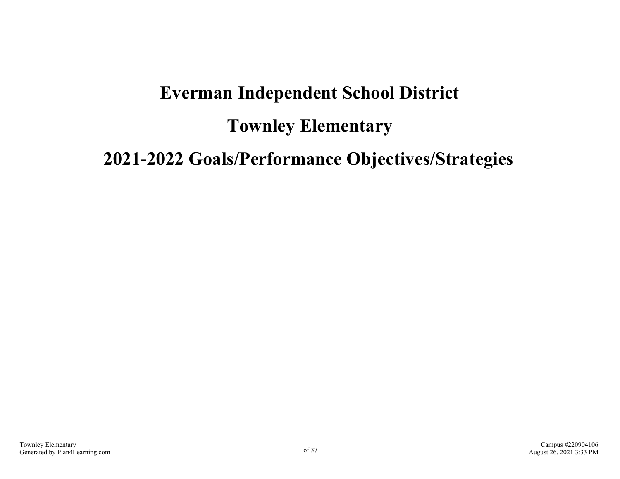# **Everman Independent School District Townley Elementary 2021-2022 Goals/Performance Objectives/Strategies**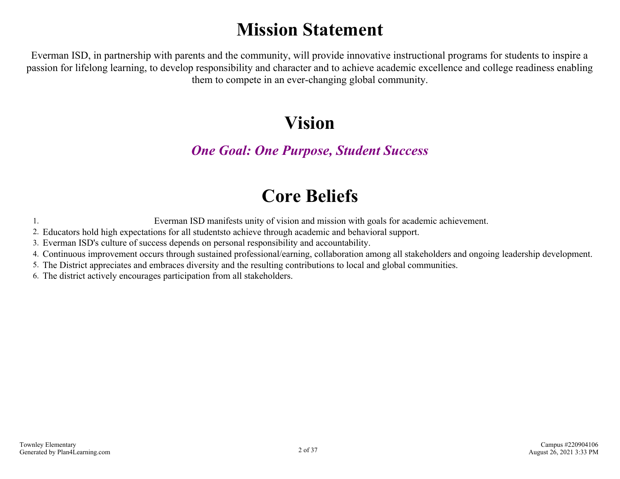# **Mission Statement**

Everman ISD, in partnership with parents and the community, will provide innovative instructional programs for students to inspire a passion for lifelong learning, to develop responsibility and character and to achieve academic excellence and college readiness enabling them to compete in an ever-changing global community.

### **Vision**

### *One Goal: One Purpose, Student Success*

## **Core Beliefs**

1. Everman ISD manifests unity of vision and mission with goals for academic achievement.

2. Educators hold high expectations for all studentsto achieve through academic and behavioral support.

3. Everman ISD's culture of success depends on personal responsibility and accountability.

4. Continuous improvement occurs through sustained professional/earning, collaboration among all stakeholders and ongoing leadership development.

5. The District appreciates and embraces diversity and the resulting contributions to local and global communities.

6. The district actively encourages participation from all stakeholders.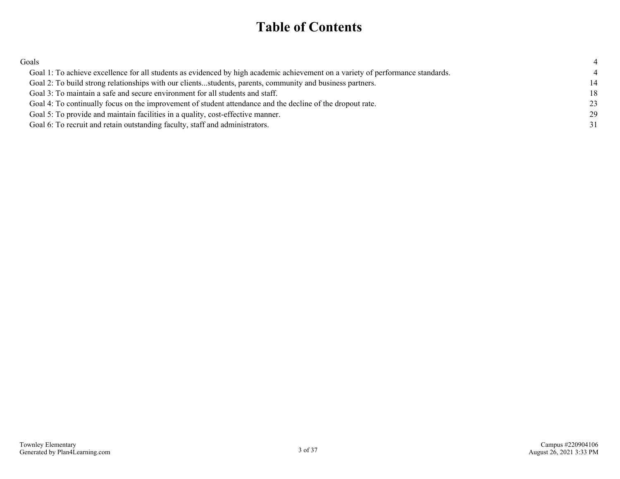### **Table of Contents**

| Goals                                                                                                                           |    |
|---------------------------------------------------------------------------------------------------------------------------------|----|
| Goal 1: To achieve excellence for all students as evidenced by high academic achievement on a variety of performance standards. |    |
| Goal 2: To build strong relationships with our clientsstudents, parents, community and business partners.                       | 14 |
| Goal 3: To maintain a safe and secure environment for all students and staff.                                                   | 18 |
| Goal 4: To continually focus on the improvement of student attendance and the decline of the dropout rate.                      | 23 |
| Goal 5: To provide and maintain facilities in a quality, cost-effective manner.                                                 | 29 |
| Goal 6: To recruit and retain outstanding faculty, staff and administrators.                                                    | 31 |
|                                                                                                                                 |    |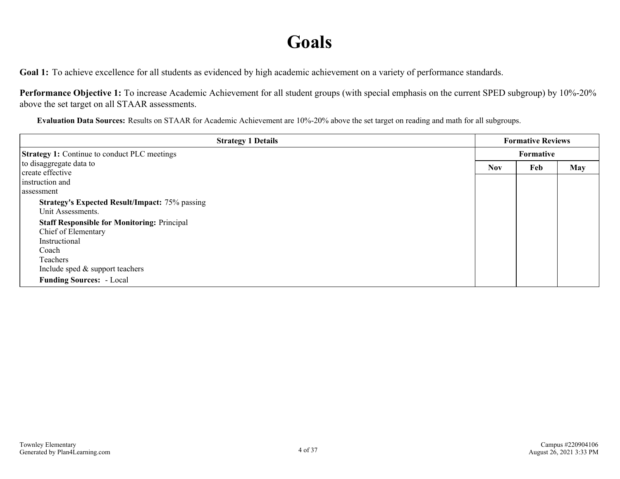### **Goals**

<span id="page-3-0"></span>Goal 1: To achieve excellence for all students as evidenced by high academic achievement on a variety of performance standards.

**Performance Objective 1:** To increase Academic Achievement for all student groups (with special emphasis on the current SPED subgroup) by 10%-20% above the set target on all STAAR assessments.

**Evaluation Data Sources:** Results on STAAR for Academic Achievement are 10%-20% above the set target on reading and math for all subgroups.

| <b>Strategy 1 Details</b>                             |            | <b>Formative Reviews</b> |            |
|-------------------------------------------------------|------------|--------------------------|------------|
| <b>Strategy 1:</b> Continue to conduct PLC meetings   |            | <b>Formative</b>         |            |
| to disaggregate data to                               | <b>Nov</b> | Feb                      | <b>May</b> |
| create effective                                      |            |                          |            |
| instruction and                                       |            |                          |            |
| assessment                                            |            |                          |            |
| <b>Strategy's Expected Result/Impact: 75% passing</b> |            |                          |            |
| Unit Assessments.                                     |            |                          |            |
| <b>Staff Responsible for Monitoring: Principal</b>    |            |                          |            |
| Chief of Elementary                                   |            |                          |            |
| Instructional                                         |            |                          |            |
| Coach                                                 |            |                          |            |
| Teachers                                              |            |                          |            |
| Include sped $&$ support teachers                     |            |                          |            |
| <b>Funding Sources:</b> - Local                       |            |                          |            |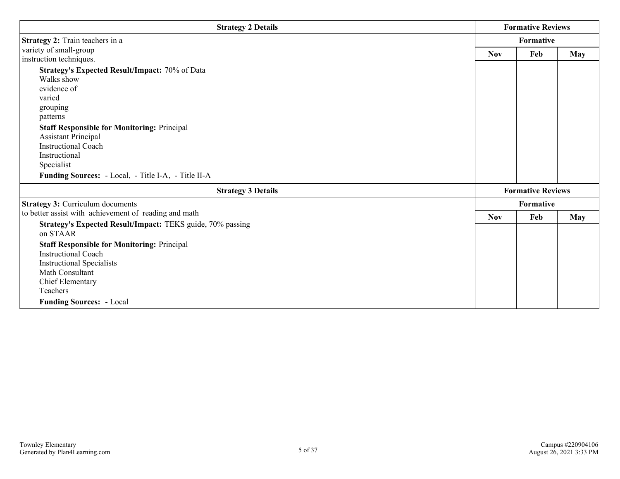| <b>Strategy 2 Details</b>                                  |            | <b>Formative Reviews</b> |            |  |
|------------------------------------------------------------|------------|--------------------------|------------|--|
| Strategy 2: Train teachers in a                            | Formative  |                          |            |  |
| variety of small-group                                     | <b>Nov</b> | Feb                      | May        |  |
| instruction techniques.                                    |            |                          |            |  |
| Strategy's Expected Result/Impact: 70% of Data             |            |                          |            |  |
| Walks show                                                 |            |                          |            |  |
| evidence of                                                |            |                          |            |  |
| varied                                                     |            |                          |            |  |
| grouping                                                   |            |                          |            |  |
| patterns                                                   |            |                          |            |  |
| <b>Staff Responsible for Monitoring: Principal</b>         |            |                          |            |  |
| <b>Assistant Principal</b>                                 |            |                          |            |  |
| <b>Instructional Coach</b>                                 |            |                          |            |  |
| Instructional                                              |            |                          |            |  |
| Specialist                                                 |            |                          |            |  |
| Funding Sources: - Local, - Title I-A, - Title II-A        |            |                          |            |  |
| <b>Strategy 3 Details</b>                                  |            | <b>Formative Reviews</b> |            |  |
| <b>Strategy 3: Curriculum documents</b>                    |            | Formative                |            |  |
| to better assist with achievement of reading and math      | <b>Nov</b> | Feb                      | <b>May</b> |  |
| Strategy's Expected Result/Impact: TEKS guide, 70% passing |            |                          |            |  |
| on STAAR                                                   |            |                          |            |  |
| <b>Staff Responsible for Monitoring: Principal</b>         |            |                          |            |  |
| <b>Instructional Coach</b>                                 |            |                          |            |  |
| <b>Instructional Specialists</b>                           |            |                          |            |  |
| Math Consultant                                            |            |                          |            |  |
| <b>Chief Elementary</b>                                    |            |                          |            |  |
| Teachers                                                   |            |                          |            |  |
| <b>Funding Sources:</b> - Local                            |            |                          |            |  |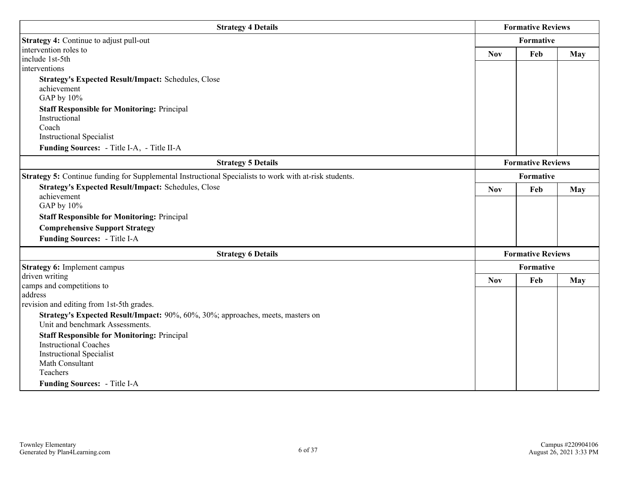| <b>Strategy 4 Details</b>                                                                                          |            | <b>Formative Reviews</b> |            |
|--------------------------------------------------------------------------------------------------------------------|------------|--------------------------|------------|
| Strategy 4: Continue to adjust pull-out                                                                            |            | Formative                |            |
| intervention roles to                                                                                              | <b>Nov</b> | Feb                      | <b>May</b> |
| include 1st-5th<br>interventions                                                                                   |            |                          |            |
|                                                                                                                    |            |                          |            |
| <b>Strategy's Expected Result/Impact: Schedules, Close</b><br>achievement                                          |            |                          |            |
| GAP by 10%                                                                                                         |            |                          |            |
| <b>Staff Responsible for Monitoring: Principal</b>                                                                 |            |                          |            |
| Instructional                                                                                                      |            |                          |            |
| Coach                                                                                                              |            |                          |            |
| <b>Instructional Specialist</b>                                                                                    |            |                          |            |
| Funding Sources: - Title I-A, - Title II-A                                                                         |            |                          |            |
| <b>Strategy 5 Details</b>                                                                                          |            | <b>Formative Reviews</b> |            |
| Strategy 5: Continue funding for Supplemental Instructional Specialists to work with at-risk students.             |            | <b>Formative</b>         |            |
| <b>Strategy's Expected Result/Impact: Schedules, Close</b>                                                         | <b>Nov</b> | Feb                      | <b>May</b> |
| achievement                                                                                                        |            |                          |            |
| GAP by 10%                                                                                                         |            |                          |            |
| <b>Staff Responsible for Monitoring: Principal</b>                                                                 |            |                          |            |
| <b>Comprehensive Support Strategy</b>                                                                              |            |                          |            |
| Funding Sources: - Title I-A                                                                                       |            |                          |            |
| <b>Strategy 6 Details</b>                                                                                          |            | <b>Formative Reviews</b> |            |
| <b>Strategy 6:</b> Implement campus                                                                                |            | Formative                |            |
| driven writing                                                                                                     | <b>Nov</b> | Feb                      | <b>May</b> |
| camps and competitions to                                                                                          |            |                          |            |
| address                                                                                                            |            |                          |            |
| revision and editing from 1st-5th grades.                                                                          |            |                          |            |
| Strategy's Expected Result/Impact: 90%, 60%, 30%; approaches, meets, masters on<br>Unit and benchmark Assessments. |            |                          |            |
|                                                                                                                    |            |                          |            |
| <b>Staff Responsible for Monitoring: Principal</b><br><b>Instructional Coaches</b>                                 |            |                          |            |
| <b>Instructional Specialist</b>                                                                                    |            |                          |            |
| Math Consultant                                                                                                    |            |                          |            |
| Teachers                                                                                                           |            |                          |            |
| Funding Sources: - Title I-A                                                                                       |            |                          |            |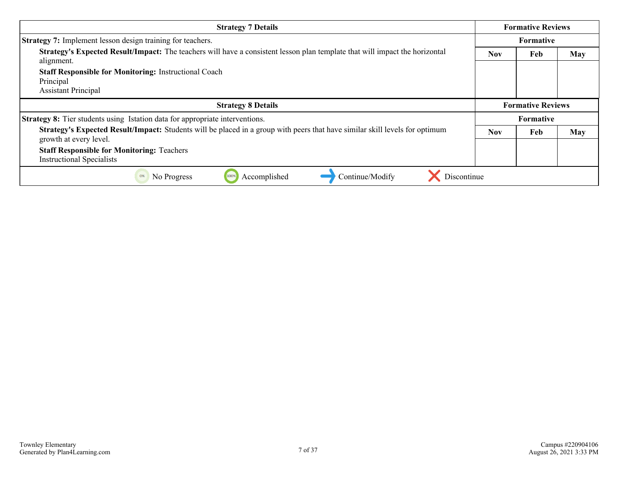| <b>Strategy 7 Details</b>                                                                                                                                    |                  | <b>Formative Reviews</b> |            |
|--------------------------------------------------------------------------------------------------------------------------------------------------------------|------------------|--------------------------|------------|
| <b>Strategy 7:</b> Implement lesson design training for teachers.                                                                                            | <b>Formative</b> |                          |            |
| Strategy's Expected Result/Impact: The teachers will have a consistent lesson plan template that will impact the horizontal<br>alignment.                    | <b>Nov</b>       | Feb                      | <b>May</b> |
| <b>Staff Responsible for Monitoring: Instructional Coach</b>                                                                                                 |                  |                          |            |
| Principal<br><b>Assistant Principal</b>                                                                                                                      |                  |                          |            |
| <b>Strategy 8 Details</b>                                                                                                                                    |                  | <b>Formative Reviews</b> |            |
| <b>Strategy 8:</b> Tier students using Istation data for appropriate interventions.                                                                          |                  | Formative                |            |
| <b>Strategy's Expected Result/Impact:</b> Students will be placed in a group with peers that have similar skill levels for optimum<br>growth at every level. | <b>Nov</b>       | Feb                      | <b>May</b> |
| <b>Staff Responsible for Monitoring: Teachers</b>                                                                                                            |                  |                          |            |
| <b>Instructional Specialists</b>                                                                                                                             |                  |                          |            |
| Discontinue<br>Continue/Modify<br>Accomplished<br>0%<br>No Progress<br>100%                                                                                  |                  |                          |            |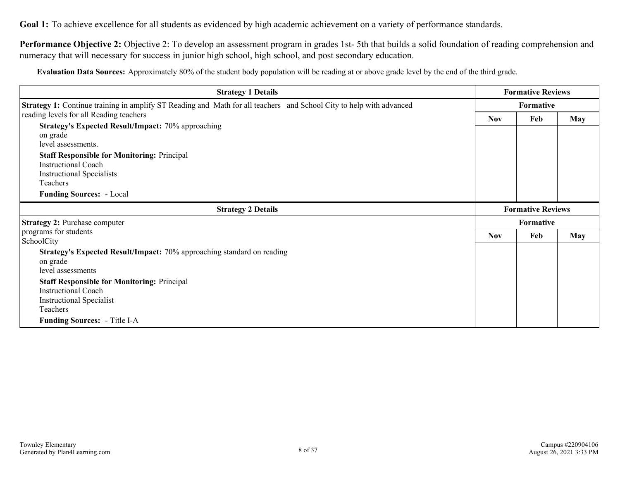**Performance Objective 2:** Objective 2: To develop an assessment program in grades 1st- 5th that builds a solid foundation of reading comprehension and numeracy that will necessary for success in junior high school, high school, and post secondary education.

**Evaluation Data Sources:** Approximately 80% of the student body population will be reading at or above grade level by the end of the third grade.

| <b>Strategy 1 Details</b>                                                                                                  |                          | <b>Formative Reviews</b> |            |
|----------------------------------------------------------------------------------------------------------------------------|--------------------------|--------------------------|------------|
| <b>Strategy 1:</b> Continue training in amplify ST Reading and Math for all teachers and School City to help with advanced | Formative                |                          |            |
| reading levels for all Reading teachers                                                                                    | <b>Nov</b>               | Feb                      | <b>May</b> |
| <b>Strategy's Expected Result/Impact: 70% approaching</b>                                                                  |                          |                          |            |
| on grade                                                                                                                   |                          |                          |            |
| level assessments.                                                                                                         |                          |                          |            |
| <b>Staff Responsible for Monitoring: Principal</b>                                                                         |                          |                          |            |
| <b>Instructional Coach</b>                                                                                                 |                          |                          |            |
| <b>Instructional Specialists</b>                                                                                           |                          |                          |            |
| Teachers                                                                                                                   |                          |                          |            |
| <b>Funding Sources:</b> - Local                                                                                            |                          |                          |            |
| <b>Strategy 2 Details</b>                                                                                                  | <b>Formative Reviews</b> |                          |            |
| <b>Strategy 2: Purchase computer</b>                                                                                       |                          | Formative                |            |
| programs for students                                                                                                      | <b>Nov</b>               | Feb                      | <b>May</b> |
| SchoolCity                                                                                                                 |                          |                          |            |
| <b>Strategy's Expected Result/Impact:</b> 70% approaching standard on reading                                              |                          |                          |            |
| on grade                                                                                                                   |                          |                          |            |
| level assessments                                                                                                          |                          |                          |            |
| <b>Staff Responsible for Monitoring: Principal</b>                                                                         |                          |                          |            |
| <b>Instructional Coach</b>                                                                                                 |                          |                          |            |
| <b>Instructional Specialist</b>                                                                                            |                          |                          |            |
| Teachers                                                                                                                   |                          |                          |            |
| <b>Funding Sources:</b> - Title I-A                                                                                        |                          |                          |            |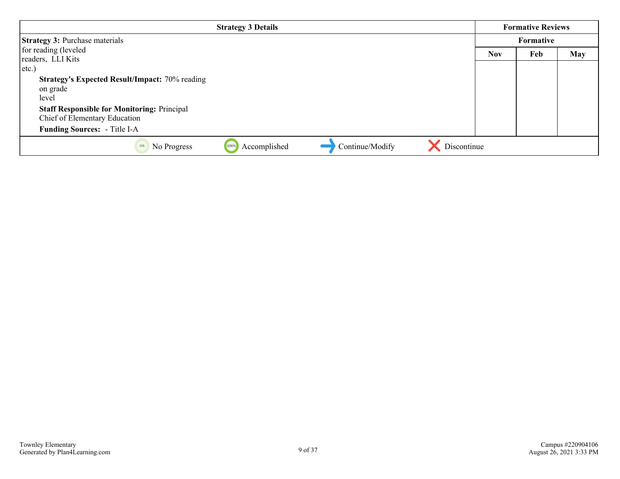| <b>Strategy 3 Details</b>                                                   |            | <b>Formative Reviews</b> |            |
|-----------------------------------------------------------------------------|------------|--------------------------|------------|
| <b>Strategy 3: Purchase materials</b>                                       |            | Formative                |            |
| for reading (leveled                                                        | <b>Nov</b> | Feb                      | <b>May</b> |
| readers, LLI Kits                                                           |            |                          |            |
| $ $ etc.)                                                                   |            |                          |            |
| <b>Strategy's Expected Result/Impact: 70% reading</b>                       |            |                          |            |
| on grade                                                                    |            |                          |            |
| level                                                                       |            |                          |            |
| <b>Staff Responsible for Monitoring: Principal</b>                          |            |                          |            |
| Chief of Elementary Education                                               |            |                          |            |
| <b>Funding Sources:</b> - Title I-A                                         |            |                          |            |
| Discontinue<br>Continue/Modify<br>Accomplished<br>No Progress<br>0%<br>100% |            |                          |            |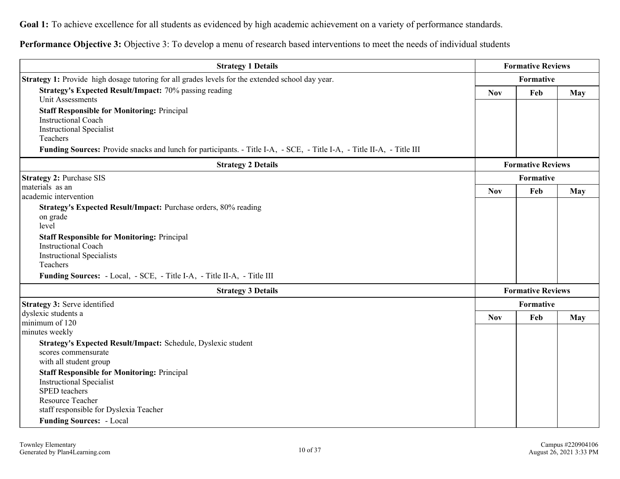**Performance Objective 3:** Objective 3: To develop a menu of research based interventions to meet the needs of individual students

| <b>Strategy 1 Details</b>                                                                                                                                                          | <b>Formative Reviews</b> |                          |            |
|------------------------------------------------------------------------------------------------------------------------------------------------------------------------------------|--------------------------|--------------------------|------------|
| <b>Strategy 1:</b> Provide high dosage tutoring for all grades levels for the extended school day year.                                                                            | Formative                |                          |            |
| <b>Strategy's Expected Result/Impact: 70% passing reading</b><br><b>Unit Assessments</b>                                                                                           | <b>Nov</b>               | Feb                      | <b>May</b> |
| <b>Staff Responsible for Monitoring: Principal</b><br><b>Instructional Coach</b><br><b>Instructional Specialist</b><br>Teachers                                                    |                          |                          |            |
| Funding Sources: Provide snacks and lunch for participants. - Title I-A, - SCE, - Title I-A, - Title II-A, - Title III                                                             |                          |                          |            |
| <b>Strategy 2 Details</b>                                                                                                                                                          |                          | <b>Formative Reviews</b> |            |
| <b>Strategy 2: Purchase SIS</b>                                                                                                                                                    |                          | Formative                |            |
| materials as an<br>academic intervention                                                                                                                                           | <b>Nov</b>               | Feb                      | <b>May</b> |
| Strategy's Expected Result/Impact: Purchase orders, 80% reading<br>on grade<br>level                                                                                               |                          |                          |            |
| <b>Staff Responsible for Monitoring: Principal</b><br><b>Instructional Coach</b><br><b>Instructional Specialists</b><br>Teachers                                                   |                          |                          |            |
| Funding Sources: - Local, - SCE, - Title I-A, - Title II-A, - Title III                                                                                                            |                          |                          |            |
| <b>Strategy 3 Details</b>                                                                                                                                                          |                          | <b>Formative Reviews</b> |            |
| Strategy 3: Serve identified                                                                                                                                                       |                          | Formative                |            |
| dyslexic students a<br>minimum of 120<br>minutes weekly                                                                                                                            | <b>Nov</b>               | Feb                      | May        |
| Strategy's Expected Result/Impact: Schedule, Dyslexic student<br>scores commensurate<br>with all student group                                                                     |                          |                          |            |
| <b>Staff Responsible for Monitoring: Principal</b><br><b>Instructional Specialist</b><br><b>SPED</b> teachers<br><b>Resource Teacher</b><br>staff responsible for Dyslexia Teacher |                          |                          |            |
| <b>Funding Sources: - Local</b>                                                                                                                                                    |                          |                          |            |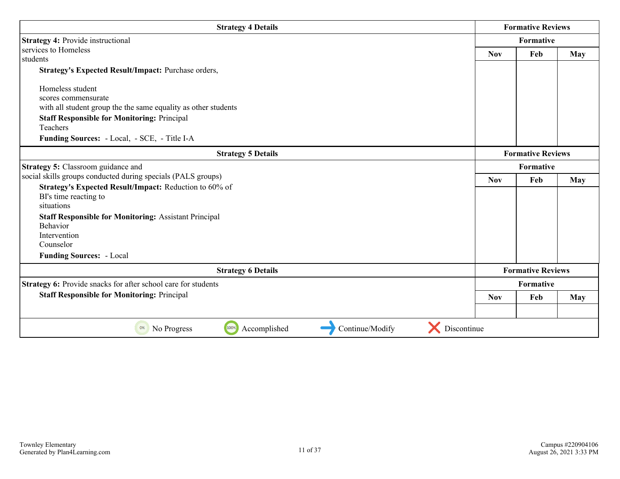| <b>Strategy 4 Details</b>                                                   |                          | <b>Formative Reviews</b> |            |
|-----------------------------------------------------------------------------|--------------------------|--------------------------|------------|
| <b>Strategy 4: Provide instructional</b>                                    |                          | Formative                |            |
| services to Homeless                                                        | <b>Nov</b><br>Feb<br>May |                          |            |
| students                                                                    |                          |                          |            |
| Strategy's Expected Result/Impact: Purchase orders,                         |                          |                          |            |
| Homeless student                                                            |                          |                          |            |
| scores commensurate                                                         |                          |                          |            |
| with all student group the the same equality as other students              |                          |                          |            |
| <b>Staff Responsible for Monitoring: Principal</b>                          |                          |                          |            |
| Teachers                                                                    |                          |                          |            |
| Funding Sources: - Local, - SCE, - Title I-A                                |                          |                          |            |
| <b>Strategy 5 Details</b>                                                   | <b>Formative Reviews</b> |                          |            |
| <b>Strategy 5: Classroom guidance and</b>                                   |                          | <b>Formative</b>         |            |
| social skills groups conducted during specials (PALS groups)                | <b>Nov</b>               | Feb                      | May        |
| Strategy's Expected Result/Impact: Reduction to 60% of                      |                          |                          |            |
| BI's time reacting to                                                       |                          |                          |            |
| situations                                                                  |                          |                          |            |
| <b>Staff Responsible for Monitoring: Assistant Principal</b>                |                          |                          |            |
| <b>Behavior</b>                                                             |                          |                          |            |
| Intervention                                                                |                          |                          |            |
| Counselor                                                                   |                          |                          |            |
| <b>Funding Sources: - Local</b>                                             |                          |                          |            |
| <b>Strategy 6 Details</b>                                                   |                          | <b>Formative Reviews</b> |            |
| Strategy 6: Provide snacks for after school care for students               |                          | Formative                |            |
| <b>Staff Responsible for Monitoring: Principal</b>                          | <b>Nov</b>               | Feb                      | <b>May</b> |
|                                                                             |                          |                          |            |
| Discontinue<br>100%<br>Accomplished<br>Continue/Modify<br>No Progress<br>0% |                          |                          |            |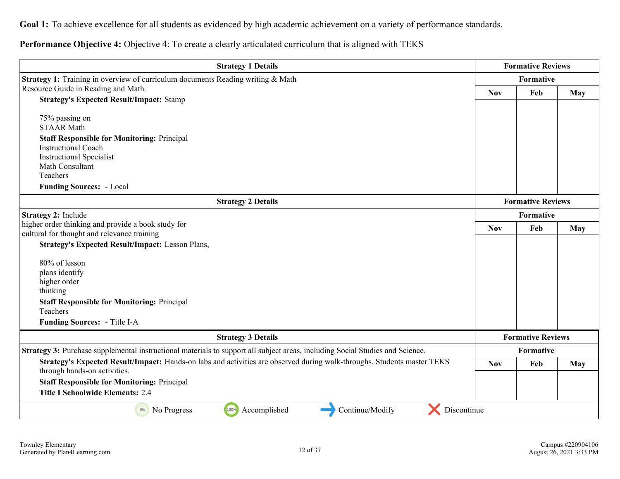**Performance Objective 4:** Objective 4: To create a clearly articulated curriculum that is aligned with TEKS

| <b>Strategy 1 Details</b>                                                                                                                               |            | <b>Formative Reviews</b> |            |
|---------------------------------------------------------------------------------------------------------------------------------------------------------|------------|--------------------------|------------|
| Strategy 1: Training in overview of curriculum documents Reading writing & Math                                                                         |            | Formative                |            |
| Resource Guide in Reading and Math.                                                                                                                     | <b>Nov</b> | Feb                      | <b>May</b> |
| <b>Strategy's Expected Result/Impact: Stamp</b>                                                                                                         |            |                          |            |
| 75% passing on                                                                                                                                          |            |                          |            |
| <b>STAAR Math</b>                                                                                                                                       |            |                          |            |
| <b>Staff Responsible for Monitoring: Principal</b>                                                                                                      |            |                          |            |
| <b>Instructional Coach</b>                                                                                                                              |            |                          |            |
| <b>Instructional Specialist</b><br>Math Consultant                                                                                                      |            |                          |            |
| Teachers                                                                                                                                                |            |                          |            |
| <b>Funding Sources: - Local</b>                                                                                                                         |            |                          |            |
| <b>Strategy 2 Details</b>                                                                                                                               |            | <b>Formative Reviews</b> |            |
| Strategy 2: Include                                                                                                                                     | Formative  |                          |            |
| higher order thinking and provide a book study for                                                                                                      |            | Feb                      | May        |
| cultural for thought and relevance training                                                                                                             | <b>Nov</b> |                          |            |
| <b>Strategy's Expected Result/Impact: Lesson Plans,</b>                                                                                                 |            |                          |            |
| 80% of lesson                                                                                                                                           |            |                          |            |
| plans identify                                                                                                                                          |            |                          |            |
| higher order                                                                                                                                            |            |                          |            |
| thinking                                                                                                                                                |            |                          |            |
| <b>Staff Responsible for Monitoring: Principal</b>                                                                                                      |            |                          |            |
| Teachers                                                                                                                                                |            |                          |            |
| Funding Sources: - Title I-A                                                                                                                            |            |                          |            |
| <b>Strategy 3 Details</b>                                                                                                                               |            | <b>Formative Reviews</b> |            |
| Strategy 3: Purchase supplemental instructional materials to support all subject areas, including Social Studies and Science.                           | Formative  |                          |            |
| Strategy's Expected Result/Impact: Hands-on labs and activities are observed during walk-throughs. Students master TEKS<br>through hands-on activities. | <b>Nov</b> | Feb                      | May        |
| <b>Staff Responsible for Monitoring: Principal</b>                                                                                                      |            |                          |            |
| <b>Title I Schoolwide Elements: 2.4</b>                                                                                                                 |            |                          |            |
|                                                                                                                                                         |            |                          |            |
| Discontinue<br>100%<br>Accomplished<br>Continue/Modify<br>No Progress<br>0%                                                                             |            |                          |            |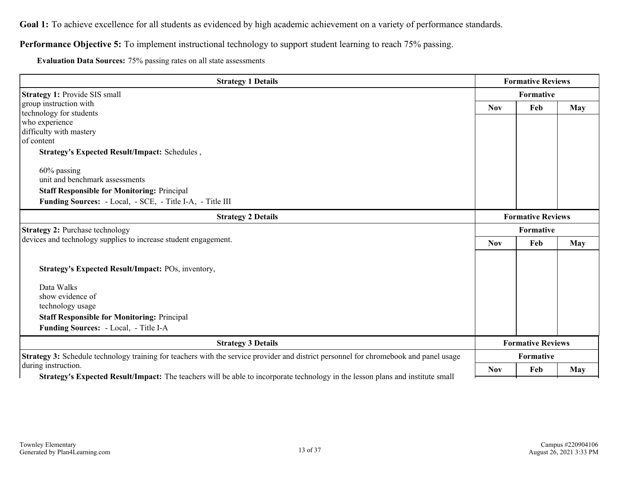### **Performance Objective 5:** To implement instructional technology to support student learning to reach 75% passing.

**Evaluation Data Sources:** 75% passing rates on all state assessments

| <b>Strategy 1 Details</b>                                                                                                                    |                          | <b>Formative Reviews</b> |            |
|----------------------------------------------------------------------------------------------------------------------------------------------|--------------------------|--------------------------|------------|
| Strategy 1: Provide SIS small                                                                                                                |                          | Formative                |            |
| group instruction with                                                                                                                       | <b>Nov</b>               | Feb                      | <b>May</b> |
| technology for students                                                                                                                      |                          |                          |            |
| who experience                                                                                                                               |                          |                          |            |
| difficulty with mastery                                                                                                                      |                          |                          |            |
| of content                                                                                                                                   |                          |                          |            |
| Strategy's Expected Result/Impact: Schedules,                                                                                                |                          |                          |            |
| 60% passing                                                                                                                                  |                          |                          |            |
| unit and benchmark assessments                                                                                                               |                          |                          |            |
| <b>Staff Responsible for Monitoring: Principal</b>                                                                                           |                          |                          |            |
|                                                                                                                                              |                          |                          |            |
| Funding Sources: - Local, - SCE, - Title I-A, - Title III                                                                                    |                          |                          |            |
| <b>Strategy 2 Details</b>                                                                                                                    | <b>Formative Reviews</b> |                          |            |
| <b>Strategy 2: Purchase technology</b>                                                                                                       | Formative                |                          |            |
| devices and technology supplies to increase student engagement.                                                                              |                          | Feb                      | <b>May</b> |
|                                                                                                                                              | <b>Nov</b>               |                          |            |
|                                                                                                                                              |                          |                          |            |
| Strategy's Expected Result/Impact: POs, inventory,                                                                                           |                          |                          |            |
| Data Walks                                                                                                                                   |                          |                          |            |
| show evidence of                                                                                                                             |                          |                          |            |
| technology usage                                                                                                                             |                          |                          |            |
|                                                                                                                                              |                          |                          |            |
| <b>Staff Responsible for Monitoring: Principal</b>                                                                                           |                          |                          |            |
| Funding Sources: - Local, - Title I-A                                                                                                        |                          |                          |            |
| <b>Strategy 3 Details</b>                                                                                                                    | <b>Formative Reviews</b> |                          |            |
| <b>Strategy 3:</b> Schedule technology training for teachers with the service provider and district personnel for chromebook and panel usage |                          | <b>Formative</b>         |            |
| during instruction.                                                                                                                          | <b>Nov</b>               | Feb                      | <b>May</b> |
| <b>Strategy's Expected Result/Impact:</b> The teachers will be able to incorporate technology in the lesson plans and institute small        |                          |                          |            |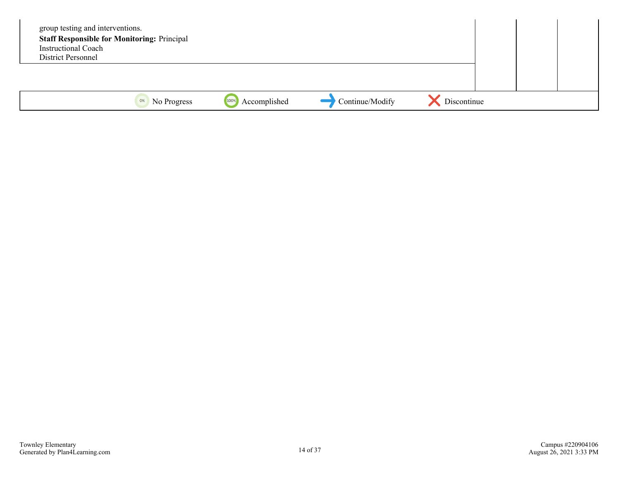| group testing and interventions.<br><b>Staff Responsible for Monitoring: Principal</b><br><b>Instructional Coach</b><br>District Personnel |             |                      |                 |             |  |  |
|--------------------------------------------------------------------------------------------------------------------------------------------|-------------|----------------------|-----------------|-------------|--|--|
|                                                                                                                                            |             |                      |                 |             |  |  |
| 0%                                                                                                                                         | No Progress | 100%<br>Accomplished | Continue/Modify | Discontinue |  |  |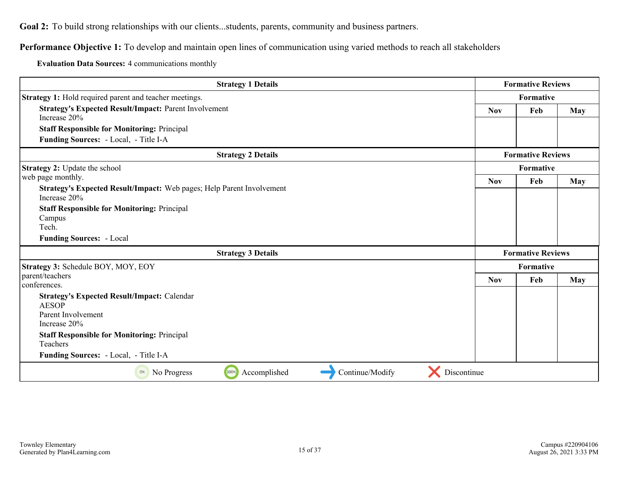<span id="page-14-0"></span>**Performance Objective 1:** To develop and maintain open lines of communication using varied methods to reach all stakeholders

**Evaluation Data Sources:** 4 communications monthly

| <b>Strategy 1 Details</b>                                                             |            | <b>Formative Reviews</b> |            |  |
|---------------------------------------------------------------------------------------|------------|--------------------------|------------|--|
| Strategy 1: Hold required parent and teacher meetings.                                |            | Formative                |            |  |
| <b>Strategy's Expected Result/Impact: Parent Involvement</b><br>Increase 20%          | <b>Nov</b> | <b>May</b>               |            |  |
| <b>Staff Responsible for Monitoring: Principal</b>                                    |            |                          |            |  |
| Funding Sources: - Local, - Title I-A                                                 |            |                          |            |  |
| <b>Strategy 2 Details</b>                                                             |            | <b>Formative Reviews</b> |            |  |
| Strategy 2: Update the school                                                         |            | Formative                |            |  |
| web page monthly.                                                                     | <b>Nov</b> | Feb                      | <b>May</b> |  |
| Strategy's Expected Result/Impact: Web pages; Help Parent Involvement<br>Increase 20% |            |                          |            |  |
| <b>Staff Responsible for Monitoring: Principal</b>                                    |            |                          |            |  |
| Campus                                                                                |            |                          |            |  |
| Tech.                                                                                 |            |                          |            |  |
| <b>Funding Sources: - Local</b>                                                       |            |                          |            |  |
| <b>Strategy 3 Details</b>                                                             |            | <b>Formative Reviews</b> |            |  |
| Strategy 3: Schedule BOY, MOY, EOY                                                    |            | Formative                |            |  |
| parent/teachers                                                                       | <b>Nov</b> | Feb                      | May        |  |
| conferences.                                                                          |            |                          |            |  |
| <b>Strategy's Expected Result/Impact: Calendar</b><br><b>AESOP</b>                    |            |                          |            |  |
| Parent Involvement<br>Increase 20%                                                    |            |                          |            |  |
| <b>Staff Responsible for Monitoring: Principal</b><br>Teachers                        |            |                          |            |  |
| Funding Sources: - Local, - Title I-A                                                 |            |                          |            |  |
| Discontinue<br>100%<br>Continue/Modify<br>Accomplished<br>0%<br>No Progress           |            |                          |            |  |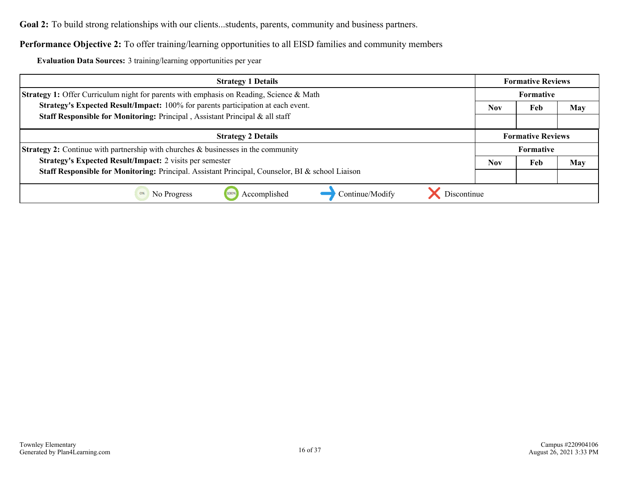### **Performance Objective 2:** To offer training/learning opportunities to all EISD families and community members

**Evaluation Data Sources:** 3 training/learning opportunities per year

| <b>Strategy 1 Details</b>                                                                        | <b>Formative Reviews</b> |                          |            |
|--------------------------------------------------------------------------------------------------|--------------------------|--------------------------|------------|
| <b>Strategy 1:</b> Offer Curriculum night for parents with emphasis on Reading, Science & Math   | Formative                |                          |            |
| Strategy's Expected Result/Impact: 100% for parents participation at each event.                 | <b>Nov</b>               | Feb                      | <b>May</b> |
| Staff Responsible for Monitoring: Principal, Assistant Principal & all staff                     |                          |                          |            |
| <b>Strategy 2 Details</b>                                                                        |                          | <b>Formative Reviews</b> |            |
| <b>Strategy 2:</b> Continue with partnership with churches $\&$ businesses in the community      |                          | <b>Formative</b>         |            |
| <b>Strategy's Expected Result/Impact: 2 visits per semester</b>                                  | <b>Nov</b>               | Feb                      | May        |
| Staff Responsible for Monitoring: Principal. Assistant Principal, Counselor, BI & school Liaison |                          |                          |            |
| Discontinue<br>Accomplished<br>Continue/Modify<br>No Progress<br>0%                              |                          |                          |            |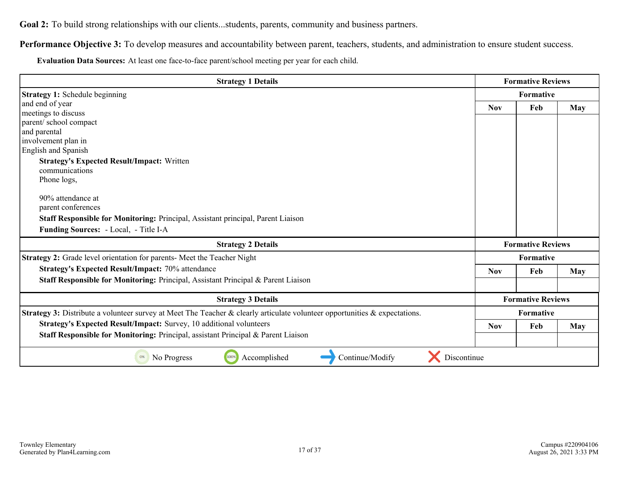Performance Objective 3: To develop measures and accountability between parent, teachers, students, and administration to ensure student success.

**Evaluation Data Sources:** At least one face-to-face parent/school meeting per year for each child.

| <b>Strategy 1 Details</b>                                                                                                  |            | <b>Formative Reviews</b> |            |  |
|----------------------------------------------------------------------------------------------------------------------------|------------|--------------------------|------------|--|
| <b>Strategy 1: Schedule beginning</b>                                                                                      |            | <b>Formative</b>         |            |  |
| and end of year                                                                                                            | <b>Nov</b> | Feb                      | May        |  |
| meetings to discuss                                                                                                        |            |                          |            |  |
| parent/school compact                                                                                                      |            |                          |            |  |
| and parental                                                                                                               |            |                          |            |  |
| involvement plan in                                                                                                        |            |                          |            |  |
| English and Spanish                                                                                                        |            |                          |            |  |
| <b>Strategy's Expected Result/Impact: Written</b>                                                                          |            |                          |            |  |
| communications                                                                                                             |            |                          |            |  |
| Phone logs,                                                                                                                |            |                          |            |  |
| 90% attendance at                                                                                                          |            |                          |            |  |
| parent conferences                                                                                                         |            |                          |            |  |
| <b>Staff Responsible for Monitoring: Principal, Assistant principal, Parent Liaison</b>                                    |            |                          |            |  |
| Funding Sources: - Local, - Title I-A                                                                                      |            |                          |            |  |
| <b>Strategy 2 Details</b>                                                                                                  |            | <b>Formative Reviews</b> |            |  |
| Strategy 2: Grade level orientation for parents- Meet the Teacher Night                                                    |            | <b>Formative</b>         |            |  |
| <b>Strategy's Expected Result/Impact: 70% attendance</b>                                                                   | <b>Nov</b> | Feb                      | May        |  |
| Staff Responsible for Monitoring: Principal, Assistant Principal & Parent Liaison                                          |            |                          |            |  |
| <b>Strategy 3 Details</b>                                                                                                  |            | <b>Formative Reviews</b> |            |  |
| Strategy 3: Distribute a volunteer survey at Meet The Teacher & clearly articulate volunteer opportunities & expectations. | Formative  |                          |            |  |
| Strategy's Expected Result/Impact: Survey, 10 additional volunteers                                                        | <b>Nov</b> | Feb                      | <b>May</b> |  |
| Staff Responsible for Monitoring: Principal, assistant Principal & Parent Liaison                                          |            |                          |            |  |
| Discontinue<br>100%<br>Accomplished<br>Continue/Modify<br>0%<br>No Progress                                                |            |                          |            |  |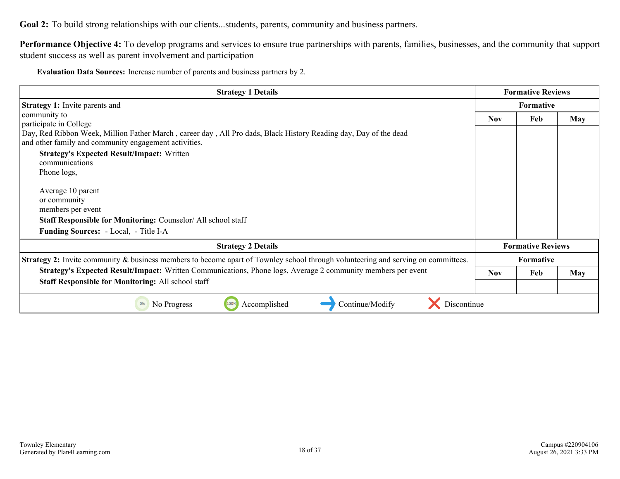**Performance Objective 4:** To develop programs and services to ensure true partnerships with parents, families, businesses, and the community that support student success as well as parent involvement and participation

**Evaluation Data Sources:** Increase number of parents and business partners by 2.

| <b>Strategy 1 Details</b>                                                                                                                                                 | <b>Formative Reviews</b> |                          |            |
|---------------------------------------------------------------------------------------------------------------------------------------------------------------------------|--------------------------|--------------------------|------------|
| <b>Strategy 1:</b> Invite parents and                                                                                                                                     | <b>Formative</b>         |                          |            |
| community to<br>participate in College                                                                                                                                    | <b>Nov</b>               | Feb                      | <b>May</b> |
| Day, Red Ribbon Week, Million Father March, career day, All Pro dads, Black History Reading day, Day of the dead<br>and other family and community engagement activities. |                          |                          |            |
| <b>Strategy's Expected Result/Impact: Written</b><br>communications                                                                                                       |                          |                          |            |
| Phone logs,                                                                                                                                                               |                          |                          |            |
| Average 10 parent                                                                                                                                                         |                          |                          |            |
| or community<br>members per event                                                                                                                                         |                          |                          |            |
| <b>Staff Responsible for Monitoring: Counselor/All school staff</b>                                                                                                       |                          |                          |            |
| <b>Funding Sources:</b> - Local, - Title I-A                                                                                                                              |                          |                          |            |
| <b>Strategy 2 Details</b>                                                                                                                                                 |                          | <b>Formative Reviews</b> |            |
| <b>Strategy 2:</b> Invite community & business members to become apart of Townley school through volunteering and serving on committees.                                  | <b>Formative</b>         |                          |            |
| Strategy's Expected Result/Impact: Written Communications, Phone logs, Average 2 community members per event                                                              | <b>Nov</b>               | Feb                      | May        |
| <b>Staff Responsible for Monitoring: All school staff</b>                                                                                                                 |                          |                          |            |
| Discontinue<br>100%<br>Accomplished<br>Continue/Modify<br>No Progress<br>0%                                                                                               |                          |                          |            |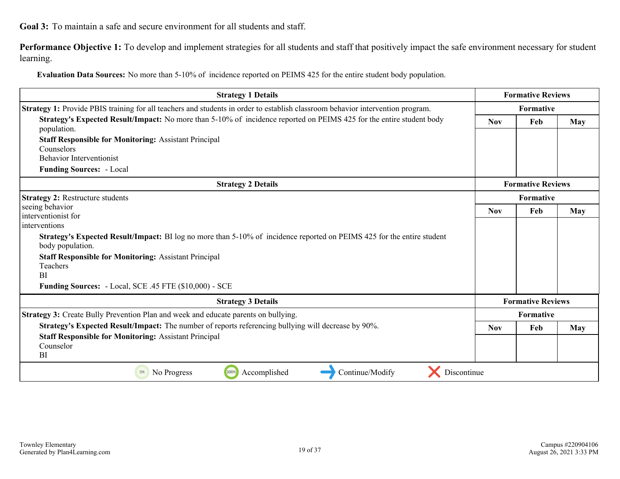<span id="page-18-0"></span>**Goal 3:** To maintain a safe and secure environment for all students and staff.

Performance Objective 1: To develop and implement strategies for all students and staff that positively impact the safe environment necessary for student learning.

**Evaluation Data Sources:** No more than 5-10% of incidence reported on PEIMS 425 for the entire student body population.

| <b>Strategy 1 Details</b>                                                                                                                  | <b>Formative Reviews</b> |                          |            |
|--------------------------------------------------------------------------------------------------------------------------------------------|--------------------------|--------------------------|------------|
| <b>Strategy 1:</b> Provide PBIS training for all teachers and students in order to establish classroom behavior intervention program.      | <b>Formative</b>         |                          |            |
| Strategy's Expected Result/Impact: No more than 5-10% of incidence reported on PEIMS 425 for the entire student body                       | Feb<br><b>Nov</b>        |                          | <b>May</b> |
| population.                                                                                                                                |                          |                          |            |
| <b>Staff Responsible for Monitoring: Assistant Principal</b>                                                                               |                          |                          |            |
| Counselors                                                                                                                                 |                          |                          |            |
| <b>Behavior Interventionist</b>                                                                                                            |                          |                          |            |
| <b>Funding Sources: - Local</b>                                                                                                            |                          |                          |            |
| <b>Strategy 2 Details</b>                                                                                                                  |                          | <b>Formative Reviews</b> |            |
| <b>Strategy 2: Restructure students</b>                                                                                                    | <b>Formative</b>         |                          |            |
| seeing behavior                                                                                                                            | <b>Nov</b>               | Feb                      | May        |
| interventionist for                                                                                                                        |                          |                          |            |
| interventions                                                                                                                              |                          |                          |            |
| Strategy's Expected Result/Impact: BI log no more than 5-10% of incidence reported on PEIMS 425 for the entire student<br>body population. |                          |                          |            |
| <b>Staff Responsible for Monitoring: Assistant Principal</b>                                                                               |                          |                          |            |
| Teachers                                                                                                                                   |                          |                          |            |
| <b>BI</b>                                                                                                                                  |                          |                          |            |
| <b>Funding Sources:</b> - Local, SCE .45 FTE (\$10,000) - SCE                                                                              |                          |                          |            |
| <b>Strategy 3 Details</b>                                                                                                                  |                          | <b>Formative Reviews</b> |            |
| <b>Strategy 3:</b> Create Bully Prevention Plan and week and educate parents on bullying.                                                  |                          | <b>Formative</b>         |            |
| Strategy's Expected Result/Impact: The number of reports referencing bullying will decrease by 90%.                                        | <b>Nov</b>               | Feb                      | May        |
| <b>Staff Responsible for Monitoring: Assistant Principal</b>                                                                               |                          |                          |            |
| Counselor                                                                                                                                  |                          |                          |            |
| BI                                                                                                                                         |                          |                          |            |
| Discontinue<br>100%<br>Accomplished<br>Continue/Modify<br>0%<br>No Progress                                                                |                          |                          |            |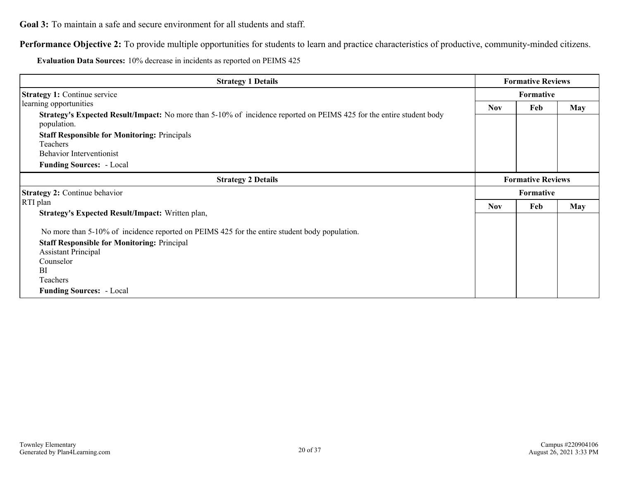**Goal 3:** To maintain a safe and secure environment for all students and staff.

**Performance Objective 2:** To provide multiple opportunities for students to learn and practice characteristics of productive, community-minded citizens.

**Evaluation Data Sources:** 10% decrease in incidents as reported on PEIMS 425

| <b>Strategy 1 Details</b>                                                                                                                  | <b>Formative Reviews</b> |           |            |
|--------------------------------------------------------------------------------------------------------------------------------------------|--------------------------|-----------|------------|
| <b>Strategy 1: Continue service</b>                                                                                                        | Formative                |           |            |
| learning opportunities                                                                                                                     | <b>Nov</b>               | Feb       | <b>May</b> |
| <b>Strategy's Expected Result/Impact:</b> No more than 5-10% of incidence reported on PEIMS 425 for the entire student body<br>population. |                          |           |            |
| <b>Staff Responsible for Monitoring: Principals</b>                                                                                        |                          |           |            |
| Teachers                                                                                                                                   |                          |           |            |
| <b>Behavior Interventionist</b>                                                                                                            |                          |           |            |
| <b>Funding Sources:</b> - Local                                                                                                            |                          |           |            |
| <b>Strategy 2 Details</b>                                                                                                                  | <b>Formative Reviews</b> |           |            |
| <b>Strategy 2: Continue behavior</b>                                                                                                       |                          | Formative |            |
| RTI plan                                                                                                                                   | <b>Nov</b>               | Feb       | <b>May</b> |
| <b>Strategy's Expected Result/Impact:</b> Written plan,                                                                                    |                          |           |            |
| No more than 5-10% of incidence reported on PEIMS 425 for the entire student body population.                                              |                          |           |            |
| <b>Staff Responsible for Monitoring: Principal</b>                                                                                         |                          |           |            |
| <b>Assistant Principal</b>                                                                                                                 |                          |           |            |
| Counselor                                                                                                                                  |                          |           |            |
| <sup>BI</sup>                                                                                                                              |                          |           |            |
| Teachers                                                                                                                                   |                          |           |            |
| <b>Funding Sources:</b> - Local                                                                                                            |                          |           |            |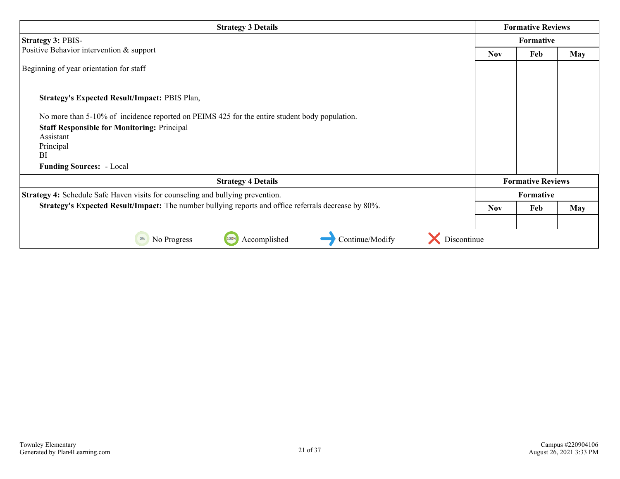| <b>Strategy 3 Details</b>                                                                            | <b>Formative Reviews</b> |                          |            |  |
|------------------------------------------------------------------------------------------------------|--------------------------|--------------------------|------------|--|
| <b>Strategy 3: PBIS-</b>                                                                             |                          | <b>Formative</b>         |            |  |
| Positive Behavior intervention & support                                                             | <b>Nov</b>               | Feb                      | <b>May</b> |  |
| Beginning of year orientation for staff                                                              |                          |                          |            |  |
| <b>Strategy's Expected Result/Impact: PBIS Plan,</b>                                                 |                          |                          |            |  |
| No more than 5-10% of incidence reported on PEIMS 425 for the entire student body population.        |                          |                          |            |  |
| <b>Staff Responsible for Monitoring: Principal</b>                                                   |                          |                          |            |  |
| Assistant<br>Principal                                                                               |                          |                          |            |  |
| <b>BI</b>                                                                                            |                          |                          |            |  |
| <b>Funding Sources:</b> - Local                                                                      |                          |                          |            |  |
| <b>Strategy 4 Details</b>                                                                            |                          | <b>Formative Reviews</b> |            |  |
| <b>Strategy 4:</b> Schedule Safe Haven visits for counseling and bullying prevention.                |                          | <b>Formative</b>         |            |  |
| Strategy's Expected Result/Impact: The number bullying reports and office referrals decrease by 80%. | <b>Nov</b>               | Feb                      | <b>May</b> |  |
|                                                                                                      |                          |                          |            |  |
| 100%<br>Discontinue<br>Accomplished<br>Continue/Modify<br>No Progress<br>0%                          |                          |                          |            |  |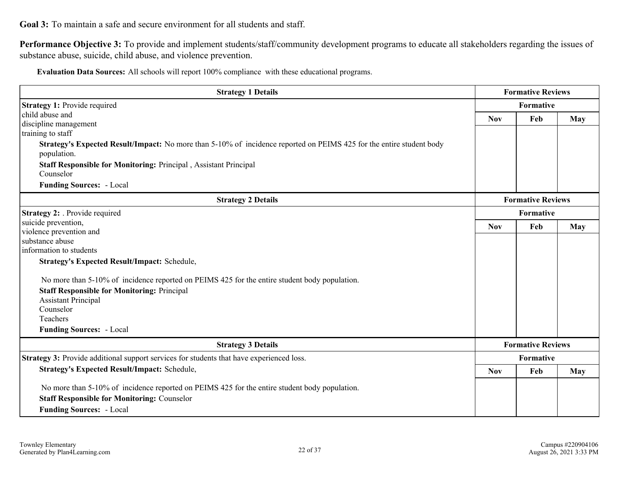**Goal 3:** To maintain a safe and secure environment for all students and staff.

Performance Objective 3: To provide and implement students/staff/community development programs to educate all stakeholders regarding the issues of substance abuse, suicide, child abuse, and violence prevention.

**Evaluation Data Sources:** All schools will report 100% compliance with these educational programs.

| <b>Strategy 1 Details</b>                                                                                                   | <b>Formative Reviews</b> |                          |            |
|-----------------------------------------------------------------------------------------------------------------------------|--------------------------|--------------------------|------------|
| <b>Strategy 1: Provide required</b>                                                                                         | Formative                |                          |            |
| child abuse and                                                                                                             | <b>Nov</b>               | May                      |            |
| discipline management                                                                                                       |                          | Feb                      |            |
| training to staff                                                                                                           |                          |                          |            |
| <b>Strategy's Expected Result/Impact:</b> No more than 5-10% of incidence reported on PEIMS 425 for the entire student body |                          |                          |            |
| population.                                                                                                                 |                          |                          |            |
| <b>Staff Responsible for Monitoring: Principal, Assistant Principal</b>                                                     |                          |                          |            |
| Counselor                                                                                                                   |                          |                          |            |
| <b>Funding Sources:</b> - Local                                                                                             |                          |                          |            |
| <b>Strategy 2 Details</b>                                                                                                   | <b>Formative Reviews</b> |                          |            |
| Strategy 2: Provide required                                                                                                | Formative                |                          |            |
| suicide prevention,                                                                                                         | <b>Nov</b>               | Feb                      | <b>May</b> |
| violence prevention and                                                                                                     |                          |                          |            |
| substance abuse                                                                                                             |                          |                          |            |
| information to students                                                                                                     |                          |                          |            |
| <b>Strategy's Expected Result/Impact: Schedule,</b>                                                                         |                          |                          |            |
| No more than 5-10% of incidence reported on PEIMS 425 for the entire student body population.                               |                          |                          |            |
| <b>Staff Responsible for Monitoring: Principal</b>                                                                          |                          |                          |            |
| <b>Assistant Principal</b>                                                                                                  |                          |                          |            |
| Counselor                                                                                                                   |                          |                          |            |
| Teachers                                                                                                                    |                          |                          |            |
| <b>Funding Sources: - Local</b>                                                                                             |                          |                          |            |
| <b>Strategy 3 Details</b>                                                                                                   |                          | <b>Formative Reviews</b> |            |
| <b>Strategy 3:</b> Provide additional support services for students that have experienced loss.                             |                          | Formative                |            |
| <b>Strategy's Expected Result/Impact: Schedule,</b>                                                                         | <b>Nov</b>               | Feb                      | May        |
| No more than 5-10% of incidence reported on PEIMS 425 for the entire student body population.                               |                          |                          |            |
| <b>Staff Responsible for Monitoring: Counselor</b>                                                                          |                          |                          |            |
| <b>Funding Sources: - Local</b>                                                                                             |                          |                          |            |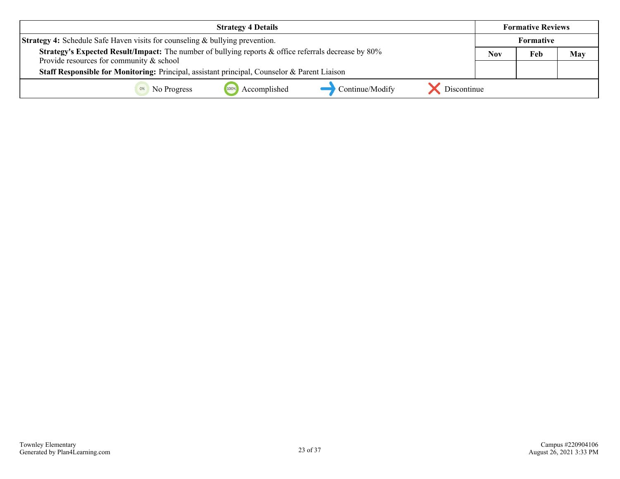| <b>Strategy 4 Details</b>                                                                            | <b>Formative Reviews</b> |                  |     |
|------------------------------------------------------------------------------------------------------|--------------------------|------------------|-----|
| <b>Strategy 4:</b> Schedule Safe Haven visits for counseling & bullying prevention.                  |                          | <b>Formative</b> |     |
| Strategy's Expected Result/Impact: The number of bullying reports & office referrals decrease by 80% | Nov                      | Feb              | May |
| Provide resources for community $\&$ school                                                          |                          |                  |     |
| Staff Responsible for Monitoring: Principal, assistant principal, Counselor & Parent Liaison         |                          |                  |     |
| 100%<br>Accomplished<br>Discontinue<br>Continue/Modify<br>No Progress                                |                          |                  |     |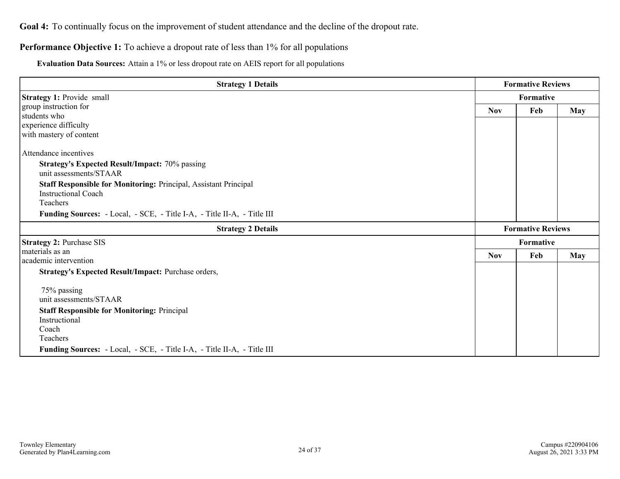#### <span id="page-23-0"></span>**Performance Objective 1:** To achieve a dropout rate of less than 1% for all populations

**Evaluation Data Sources:** Attain a 1% or less dropout rate on AEIS report for all populations

| <b>Strategy 1 Details</b>                                                                      |            | <b>Formative Reviews</b> |            |  |
|------------------------------------------------------------------------------------------------|------------|--------------------------|------------|--|
| <b>Strategy 1: Provide small</b>                                                               |            | Formative                |            |  |
| group instruction for                                                                          | <b>Nov</b> | Feb                      | <b>May</b> |  |
| students who                                                                                   |            |                          |            |  |
| experience difficulty                                                                          |            |                          |            |  |
| with mastery of content                                                                        |            |                          |            |  |
| Attendance incentives                                                                          |            |                          |            |  |
| <b>Strategy's Expected Result/Impact: 70% passing</b><br>unit assessments/STAAR                |            |                          |            |  |
| Staff Responsible for Monitoring: Principal, Assistant Principal<br><b>Instructional Coach</b> |            |                          |            |  |
| Teachers                                                                                       |            |                          |            |  |
| Funding Sources: - Local, - SCE, - Title I-A, - Title II-A, - Title III                        |            |                          |            |  |
| <b>Strategy 2 Details</b>                                                                      |            | <b>Formative Reviews</b> |            |  |
| <b>Strategy 2: Purchase SIS</b>                                                                |            | Formative                |            |  |
| materials as an                                                                                | <b>Nov</b> | Feb                      | <b>May</b> |  |
| academic intervention                                                                          |            |                          |            |  |
| Strategy's Expected Result/Impact: Purchase orders,                                            |            |                          |            |  |
| 75% passing                                                                                    |            |                          |            |  |
| unit assessments/STAAR                                                                         |            |                          |            |  |
| <b>Staff Responsible for Monitoring: Principal</b>                                             |            |                          |            |  |
| Instructional                                                                                  |            |                          |            |  |
| Coach                                                                                          |            |                          |            |  |
| Teachers                                                                                       |            |                          |            |  |
| Funding Sources: - Local, - SCE, - Title I-A, - Title II-A, - Title III                        |            |                          |            |  |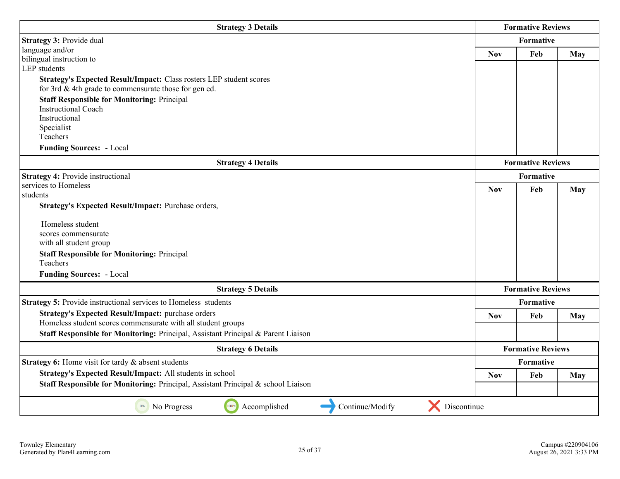| <b>Strategy 3 Details</b>                                                         | <b>Formative Reviews</b> |                          |            |
|-----------------------------------------------------------------------------------|--------------------------|--------------------------|------------|
| Strategy 3: Provide dual                                                          | <b>Formative</b>         |                          |            |
| language and/or                                                                   | <b>Nov</b>               | Feb                      | <b>May</b> |
| bilingual instruction to<br><b>LEP</b> students                                   |                          |                          |            |
| Strategy's Expected Result/Impact: Class rosters LEP student scores               |                          |                          |            |
| for 3rd $&$ 4th grade to commensurate those for gen ed.                           |                          |                          |            |
| <b>Staff Responsible for Monitoring: Principal</b>                                |                          |                          |            |
| <b>Instructional Coach</b>                                                        |                          |                          |            |
| Instructional<br>Specialist                                                       |                          |                          |            |
| Teachers                                                                          |                          |                          |            |
| <b>Funding Sources: - Local</b>                                                   |                          |                          |            |
| <b>Strategy 4 Details</b>                                                         | <b>Formative Reviews</b> |                          |            |
| <b>Strategy 4: Provide instructional</b>                                          | <b>Formative</b>         |                          |            |
| services to Homeless                                                              | <b>Nov</b>               | Feb                      | <b>May</b> |
| students                                                                          |                          |                          |            |
| Strategy's Expected Result/Impact: Purchase orders,                               |                          |                          |            |
| Homeless student                                                                  |                          |                          |            |
| scores commensurate                                                               |                          |                          |            |
| with all student group                                                            |                          |                          |            |
| <b>Staff Responsible for Monitoring: Principal</b><br>Teachers                    |                          |                          |            |
| <b>Funding Sources: - Local</b>                                                   |                          |                          |            |
| <b>Strategy 5 Details</b>                                                         |                          | <b>Formative Reviews</b> |            |
| <b>Strategy 5: Provide instructional services to Homeless students</b>            |                          | Formative                |            |
| <b>Strategy's Expected Result/Impact: purchase orders</b>                         | <b>Nov</b>               | Feb                      | May        |
| Homeless student scores commensurate with all student groups                      |                          |                          |            |
| Staff Responsible for Monitoring: Principal, Assistant Principal & Parent Liaison |                          |                          |            |
| <b>Strategy 6 Details</b>                                                         | <b>Formative Reviews</b> |                          |            |
| Strategy 6: Home visit for tardy & absent students                                | Formative                |                          |            |
| Strategy's Expected Result/Impact: All students in school                         | <b>Nov</b>               | Feb                      | <b>May</b> |
| Staff Responsible for Monitoring: Principal, Assistant Principal & school Liaison |                          |                          |            |
| X Discontinue<br>100%<br>Accomplished<br>Continue/Modify<br>No Progress<br>0%     |                          |                          |            |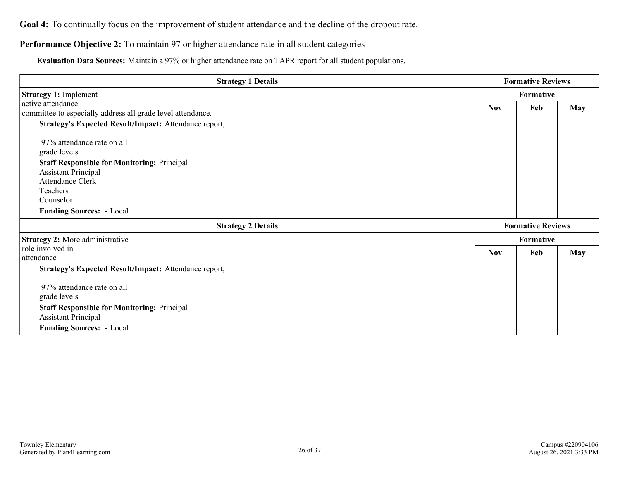#### **Performance Objective 2:** To maintain 97 or higher attendance rate in all student categories

**Evaluation Data Sources:** Maintain a 97% or higher attendance rate on TAPR report for all student populations.

| <b>Strategy 1 Details</b>                                   | <b>Formative Reviews</b> |                          |            |
|-------------------------------------------------------------|--------------------------|--------------------------|------------|
| <b>Strategy 1: Implement</b>                                | Formative                |                          |            |
| active attendance                                           | <b>Nov</b>               | <b>May</b>               |            |
| committee to especially address all grade level attendance. |                          | Feb                      |            |
| Strategy's Expected Result/Impact: Attendance report,       |                          |                          |            |
| 97% attendance rate on all                                  |                          |                          |            |
| grade levels                                                |                          |                          |            |
| <b>Staff Responsible for Monitoring: Principal</b>          |                          |                          |            |
| <b>Assistant Principal</b>                                  |                          |                          |            |
| <b>Attendance Clerk</b>                                     |                          |                          |            |
| Teachers                                                    |                          |                          |            |
| Counselor                                                   |                          |                          |            |
| <b>Funding Sources: - Local</b>                             |                          |                          |            |
| <b>Strategy 2 Details</b>                                   |                          | <b>Formative Reviews</b> |            |
| <b>Strategy 2:</b> More administrative                      |                          | Formative                |            |
| role involved in                                            | <b>Nov</b>               | Feb                      | <b>May</b> |
| attendance                                                  |                          |                          |            |
| Strategy's Expected Result/Impact: Attendance report,       |                          |                          |            |
| 97% attendance rate on all                                  |                          |                          |            |
| grade levels                                                |                          |                          |            |
| <b>Staff Responsible for Monitoring: Principal</b>          |                          |                          |            |
| <b>Assistant Principal</b>                                  |                          |                          |            |
| <b>Funding Sources: - Local</b>                             |                          |                          |            |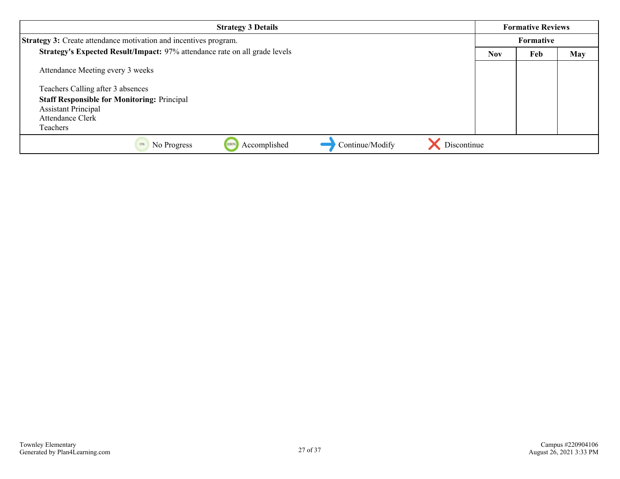| <b>Strategy 3 Details</b>                                                  |                   | <b>Formative Reviews</b> |     |
|----------------------------------------------------------------------------|-------------------|--------------------------|-----|
| <b>Strategy 3:</b> Create attendance motivation and incentives program.    |                   | Formative                |     |
| Strategy's Expected Result/Impact: 97% attendance rate on all grade levels | Feb<br><b>Nov</b> |                          | May |
| Attendance Meeting every 3 weeks                                           |                   |                          |     |
| Teachers Calling after 3 absences                                          |                   |                          |     |
| <b>Staff Responsible for Monitoring: Principal</b>                         |                   |                          |     |
| <b>Assistant Principal</b>                                                 |                   |                          |     |
| Attendance Clerk                                                           |                   |                          |     |
| Teachers                                                                   |                   |                          |     |
| Discontinue<br>Continue/Modify<br>Accomplished<br>No Progress<br>100%      |                   |                          |     |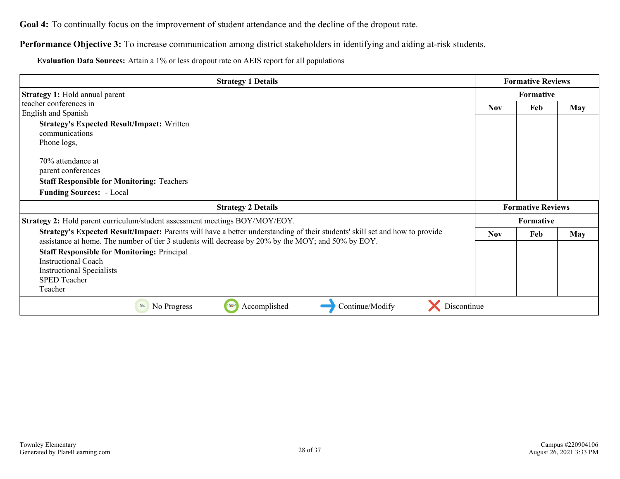**Performance Objective 3:** To increase communication among district stakeholders in identifying and aiding at-risk students.

**Evaluation Data Sources:** Attain a 1% or less dropout rate on AEIS report for all populations

| <b>Strategy 1 Details</b>                                                                                                   |            | <b>Formative Reviews</b> |            |
|-----------------------------------------------------------------------------------------------------------------------------|------------|--------------------------|------------|
| <b>Strategy 1:</b> Hold annual parent                                                                                       |            | Formative                |            |
| teacher conferences in                                                                                                      | <b>Nov</b> | Feb                      | <b>May</b> |
| English and Spanish                                                                                                         |            |                          |            |
| <b>Strategy's Expected Result/Impact: Written</b>                                                                           |            |                          |            |
| communications                                                                                                              |            |                          |            |
| Phone logs,                                                                                                                 |            |                          |            |
| 70% attendance at                                                                                                           |            |                          |            |
| parent conferences                                                                                                          |            |                          |            |
| <b>Staff Responsible for Monitoring: Teachers</b>                                                                           |            |                          |            |
| <b>Funding Sources: - Local</b>                                                                                             |            |                          |            |
|                                                                                                                             |            |                          |            |
| <b>Strategy 2 Details</b>                                                                                                   |            | <b>Formative Reviews</b> |            |
| Strategy 2: Hold parent curriculum/student assessment meetings BOY/MOY/EOY.                                                 |            | Formative                |            |
| Strategy's Expected Result/Impact: Parents will have a better understanding of their students' skill set and how to provide | <b>Nov</b> | Feb                      | May        |
| assistance at home. The number of tier 3 students will decrease by 20% by the MOY; and 50% by EOY.                          |            |                          |            |
| <b>Staff Responsible for Monitoring: Principal</b>                                                                          |            |                          |            |
| <b>Instructional Coach</b>                                                                                                  |            |                          |            |
| <b>Instructional Specialists</b>                                                                                            |            |                          |            |
| <b>SPED Teacher</b>                                                                                                         |            |                          |            |
| Teacher                                                                                                                     |            |                          |            |
| Continue/Modify<br>Discontinue<br>100%<br>Accomplished<br>No Progress<br>0%                                                 |            |                          |            |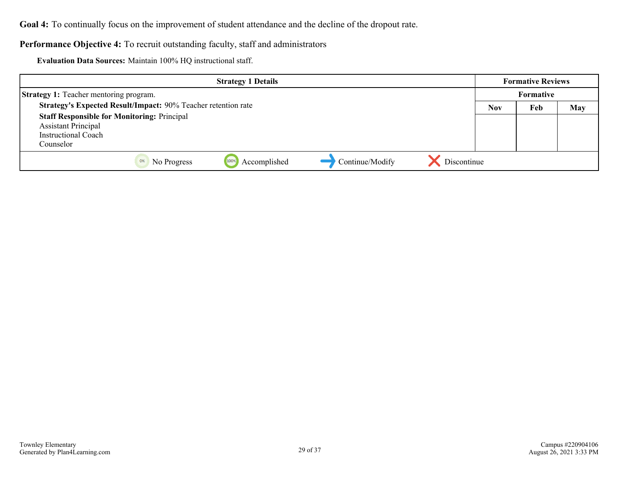#### **Performance Objective 4:** To recruit outstanding faculty, staff and administrators

**Evaluation Data Sources:** Maintain 100% HQ instructional staff.

|                                                               |             | <b>Strategy 1 Details</b> |                 |             |            | <b>Formative Reviews</b> |            |
|---------------------------------------------------------------|-------------|---------------------------|-----------------|-------------|------------|--------------------------|------------|
| <b>Strategy 1:</b> Teacher mentoring program.                 |             |                           |                 |             |            | Formative                |            |
| Strategy's Expected Result/Impact: 90% Teacher retention rate |             |                           |                 |             | <b>Nov</b> | Feb                      | <b>May</b> |
| <b>Staff Responsible for Monitoring: Principal</b>            |             |                           |                 |             |            |                          |            |
| <b>Assistant Principal</b>                                    |             |                           |                 |             |            |                          |            |
| <b>Instructional Coach</b>                                    |             |                           |                 |             |            |                          |            |
| Counselor                                                     |             |                           |                 |             |            |                          |            |
| 0%                                                            | No Progress | Accomplished<br>100%      | Continue/Modify | Discontinue |            |                          |            |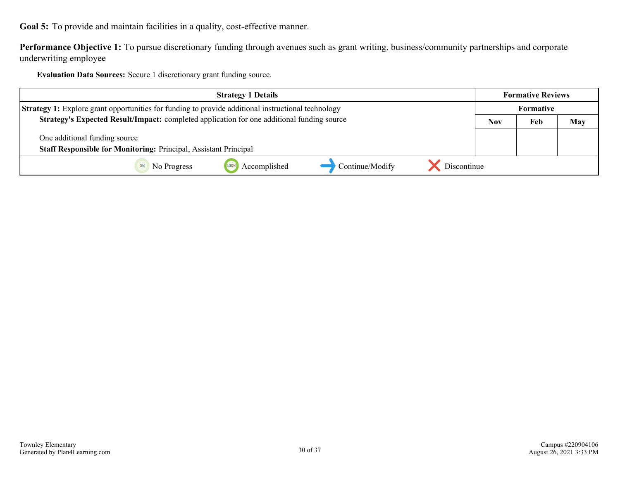<span id="page-29-0"></span>**Goal 5:** To provide and maintain facilities in a quality, cost-effective manner.

**Performance Objective 1:** To pursue discretionary funding through avenues such as grant writing, business/community partnerships and corporate underwriting employee

**Evaluation Data Sources:** Secure 1 discretionary grant funding source.

| <b>Strategy 1 Details</b>                                                                                 |  | <b>Formative Reviews</b> |            |
|-----------------------------------------------------------------------------------------------------------|--|--------------------------|------------|
| <b>Strategy 1:</b> Explore grant opportunities for funding to provide additional instructional technology |  | <b>Formative</b>         |            |
| Strategy's Expected Result/Impact: completed application for one additional funding source                |  | Feb                      | <b>May</b> |
| One additional funding source                                                                             |  |                          |            |
| <b>Staff Responsible for Monitoring: Principal, Assistant Principal</b>                                   |  |                          |            |
| Discontinue<br>Accomplished<br>Continue/Modify<br>No Progress<br>0%                                       |  |                          |            |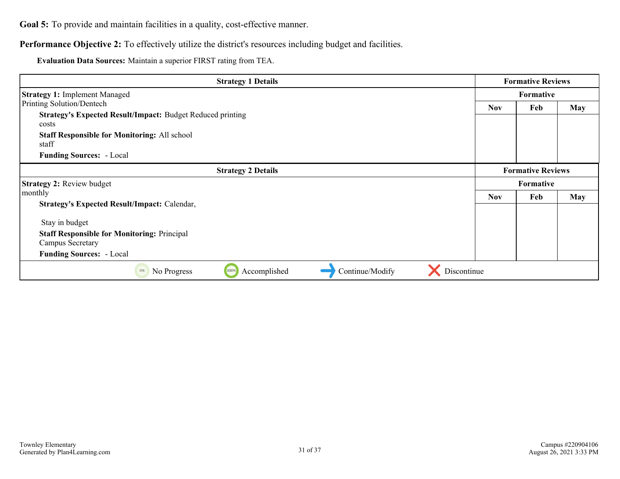**Goal 5:** To provide and maintain facilities in a quality, cost-effective manner.

Performance Objective 2: To effectively utilize the district's resources including budget and facilities.

**Evaluation Data Sources:** Maintain a superior FIRST rating from TEA.

| <b>Strategy 1 Details</b>                                                   |            | <b>Formative Reviews</b> |            |
|-----------------------------------------------------------------------------|------------|--------------------------|------------|
| <b>Strategy 1: Implement Managed</b>                                        |            | <b>Formative</b>         |            |
| Printing Solution/Dentech                                                   | <b>Nov</b> | Feb                      | <b>May</b> |
| <b>Strategy's Expected Result/Impact: Budget Reduced printing</b><br>costs  |            |                          |            |
| <b>Staff Responsible for Monitoring: All school</b><br>staff                |            |                          |            |
| <b>Funding Sources: - Local</b>                                             |            |                          |            |
| <b>Strategy 2 Details</b>                                                   |            | <b>Formative Reviews</b> |            |
| <b>Strategy 2: Review budget</b>                                            |            | <b>Formative</b>         |            |
| monthly                                                                     | <b>Nov</b> | Feb                      | <b>May</b> |
| <b>Strategy's Expected Result/Impact: Calendar,</b>                         |            |                          |            |
| Stay in budget                                                              |            |                          |            |
| <b>Staff Responsible for Monitoring: Principal</b>                          |            |                          |            |
| Campus Secretary                                                            |            |                          |            |
| <b>Funding Sources: - Local</b>                                             |            |                          |            |
| Discontinue<br>Accomplished<br>Continue/Modify<br>100%<br>No Progress<br>0% |            |                          |            |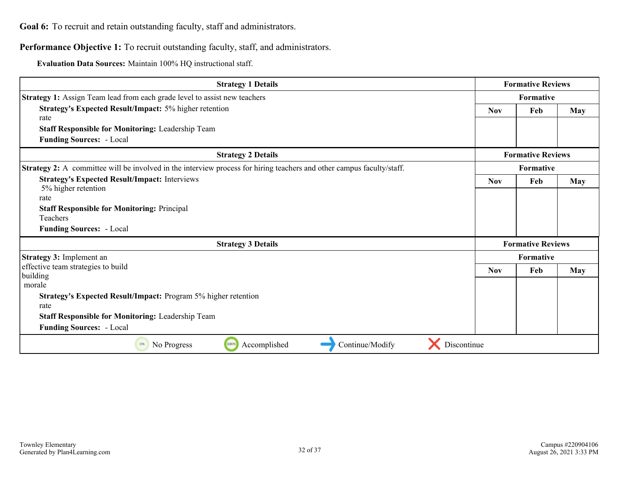<span id="page-31-0"></span>Performance Objective 1: To recruit outstanding faculty, staff, and administrators.

**Evaluation Data Sources:** Maintain 100% HQ instructional staff.

| <b>Strategy 1 Details</b>                                                                                                    | <b>Formative Reviews</b> |                          |            |
|------------------------------------------------------------------------------------------------------------------------------|--------------------------|--------------------------|------------|
| Strategy 1: Assign Team lead from each grade level to assist new teachers                                                    | Formative                |                          |            |
| <b>Strategy's Expected Result/Impact: 5% higher retention</b>                                                                | <b>Nov</b>               | Feb                      | May        |
| rate                                                                                                                         |                          |                          |            |
| <b>Staff Responsible for Monitoring: Leadership Team</b>                                                                     |                          |                          |            |
| <b>Funding Sources:</b> - Local                                                                                              |                          |                          |            |
| <b>Strategy 2 Details</b>                                                                                                    |                          | <b>Formative Reviews</b> |            |
| <b>Strategy 2:</b> A committee will be involved in the interview process for hiring teachers and other campus faculty/staff. |                          | Formative                |            |
| <b>Strategy's Expected Result/Impact: Interviews</b><br>5% higher retention                                                  | <b>Nov</b>               | Feb                      | May        |
| rate                                                                                                                         |                          |                          |            |
| <b>Staff Responsible for Monitoring: Principal</b><br>Teachers                                                               |                          |                          |            |
| <b>Funding Sources:</b> - Local                                                                                              |                          |                          |            |
| <b>Strategy 3 Details</b>                                                                                                    |                          | <b>Formative Reviews</b> |            |
| Strategy 3: Implement an                                                                                                     |                          | Formative                |            |
| effective team strategies to build                                                                                           | <b>Nov</b>               | Feb                      | <b>May</b> |
| building                                                                                                                     |                          |                          |            |
| morale                                                                                                                       |                          |                          |            |
| Strategy's Expected Result/Impact: Program 5% higher retention                                                               |                          |                          |            |
| rate                                                                                                                         |                          |                          |            |
| Staff Responsible for Monitoring: Leadership Team                                                                            |                          |                          |            |
| <b>Funding Sources:</b> - Local                                                                                              |                          |                          |            |
| 100%<br>Continue/Modify<br>Discontinue<br>Accomplished<br>No Progress<br>0%                                                  |                          |                          |            |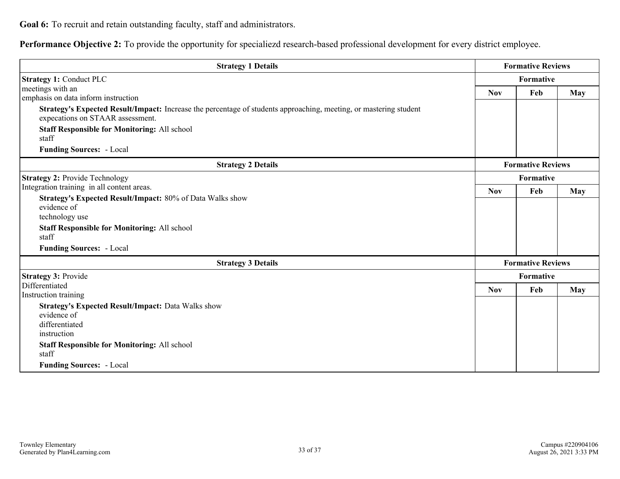**Performance Objective 2:** To provide the opportunity for specialiezd research-based professional development for every district employee.

| <b>Strategy 1 Details</b>                                                                                                                             |            | <b>Formative Reviews</b> |     |
|-------------------------------------------------------------------------------------------------------------------------------------------------------|------------|--------------------------|-----|
| <b>Strategy 1: Conduct PLC</b>                                                                                                                        |            | Formative                |     |
| meetings with an                                                                                                                                      | <b>Nov</b> | Feb                      | May |
| emphasis on data inform instruction                                                                                                                   |            |                          |     |
| Strategy's Expected Result/Impact: Increase the percentage of students approaching, meeting, or mastering student<br>expecations on STAAR assessment. |            |                          |     |
| <b>Staff Responsible for Monitoring: All school</b><br>staff                                                                                          |            |                          |     |
| <b>Funding Sources: - Local</b>                                                                                                                       |            |                          |     |
| <b>Strategy 2 Details</b>                                                                                                                             |            | <b>Formative Reviews</b> |     |
| <b>Strategy 2: Provide Technology</b>                                                                                                                 |            | Formative                |     |
| Integration training in all content areas.                                                                                                            | <b>Nov</b> | Feb                      | May |
| Strategy's Expected Result/Impact: 80% of Data Walks show                                                                                             |            |                          |     |
| evidence of                                                                                                                                           |            |                          |     |
| technology use                                                                                                                                        |            |                          |     |
| <b>Staff Responsible for Monitoring: All school</b><br>staff                                                                                          |            |                          |     |
| <b>Funding Sources: - Local</b>                                                                                                                       |            |                          |     |
| <b>Strategy 3 Details</b>                                                                                                                             |            | <b>Formative Reviews</b> |     |
| <b>Strategy 3: Provide</b>                                                                                                                            |            | Formative                |     |
| Differentiated                                                                                                                                        | <b>Nov</b> | Feb                      | May |
| Instruction training                                                                                                                                  |            |                          |     |
| <b>Strategy's Expected Result/Impact: Data Walks show</b>                                                                                             |            |                          |     |
| evidence of                                                                                                                                           |            |                          |     |
| differentiated                                                                                                                                        |            |                          |     |
| instruction                                                                                                                                           |            |                          |     |
| <b>Staff Responsible for Monitoring: All school</b>                                                                                                   |            |                          |     |
| staff                                                                                                                                                 |            |                          |     |
| <b>Funding Sources: - Local</b>                                                                                                                       |            |                          |     |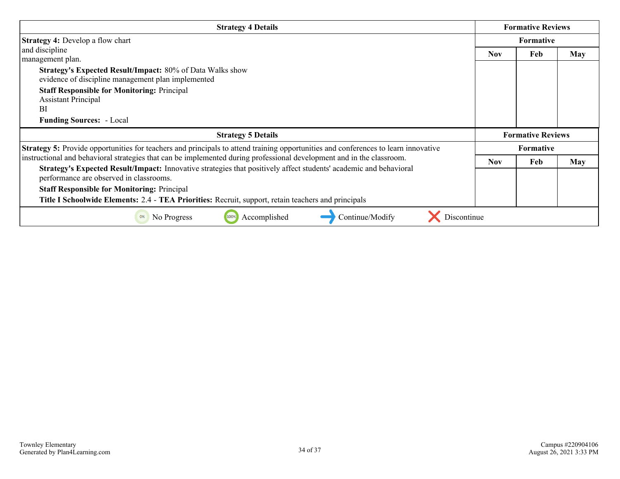| <b>Strategy 4 Details</b>                                                                                                                                    |      | <b>Formative Reviews</b> |            |
|--------------------------------------------------------------------------------------------------------------------------------------------------------------|------|--------------------------|------------|
| <b>Strategy 4: Develop a flow chart</b>                                                                                                                      |      | <b>Formative</b>         |            |
| and discipline<br>management plan.                                                                                                                           | Nov. | Feb                      | <b>May</b> |
| <b>Strategy's Expected Result/Impact: 80% of Data Walks show</b><br>evidence of discipline management plan implemented                                       |      |                          |            |
| <b>Staff Responsible for Monitoring: Principal</b><br><b>Assistant Principal</b><br>BI                                                                       |      |                          |            |
| <b>Funding Sources: - Local</b>                                                                                                                              |      |                          |            |
| <b>Strategy 5 Details</b>                                                                                                                                    |      | <b>Formative Reviews</b> |            |
| <b>Strategy 5:</b> Provide opportunities for teachers and principals to attend training opportunities and conferences to learn innovative                    |      | <b>Formative</b>         |            |
| instructional and behavioral strategies that can be implemented during professional development and in the classroom.                                        | Nov. | Feb                      | May        |
| Strategy's Expected Result/Impact: Innovative strategies that positively affect students' academic and behavioral<br>performance are observed in classrooms. |      |                          |            |
| <b>Staff Responsible for Monitoring: Principal</b>                                                                                                           |      |                          |            |
| Title I Schoolwide Elements: 2.4 - TEA Priorities: Recruit, support, retain teachers and principals                                                          |      |                          |            |
| Discontinue<br>100%<br>Accomplished<br>Continue/Modify<br>0%<br>No Progress                                                                                  |      |                          |            |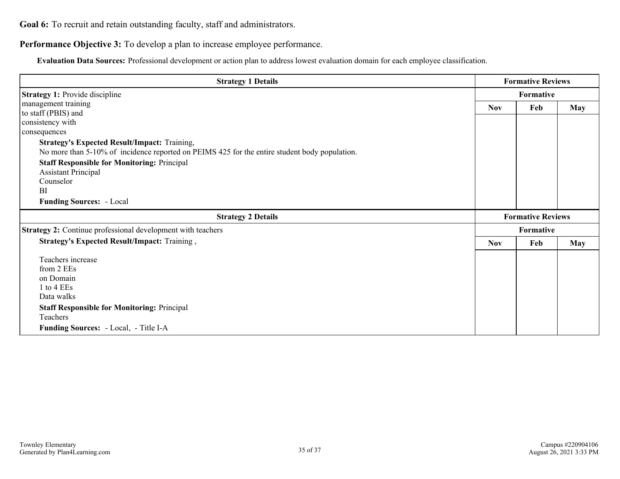**Performance Objective 3:** To develop a plan to increase employee performance.

**Evaluation Data Sources:** Professional development or action plan to address lowest evaluation domain for each employee classification.

| <b>Strategy 1 Details</b>                                                                     |            | <b>Formative Reviews</b> |            |
|-----------------------------------------------------------------------------------------------|------------|--------------------------|------------|
| <b>Strategy 1: Provide discipline</b>                                                         | Formative  |                          |            |
| management training                                                                           | <b>Nov</b> | Feb                      | <b>May</b> |
| to staff (PBIS) and                                                                           |            |                          |            |
| consistency with                                                                              |            |                          |            |
| consequences                                                                                  |            |                          |            |
| <b>Strategy's Expected Result/Impact: Training,</b>                                           |            |                          |            |
| No more than 5-10% of incidence reported on PEIMS 425 for the entire student body population. |            |                          |            |
| <b>Staff Responsible for Monitoring: Principal</b>                                            |            |                          |            |
| <b>Assistant Principal</b>                                                                    |            |                          |            |
| Counselor                                                                                     |            |                          |            |
| BI                                                                                            |            |                          |            |
| <b>Funding Sources: - Local</b>                                                               |            |                          |            |
| <b>Strategy 2 Details</b>                                                                     |            | <b>Formative Reviews</b> |            |
| Strategy 2: Continue professional development with teachers                                   |            | Formative                |            |
| Strategy's Expected Result/Impact: Training,                                                  | <b>Nov</b> | Feb                      | <b>May</b> |
| Teachers increase                                                                             |            |                          |            |
| from 2 EEs                                                                                    |            |                          |            |
| on Domain                                                                                     |            |                          |            |
| 1 to 4 EEs                                                                                    |            |                          |            |
| Data walks                                                                                    |            |                          |            |
| <b>Staff Responsible for Monitoring: Principal</b>                                            |            |                          |            |
| Teachers                                                                                      |            |                          |            |
| Funding Sources: - Local, - Title I-A                                                         |            |                          |            |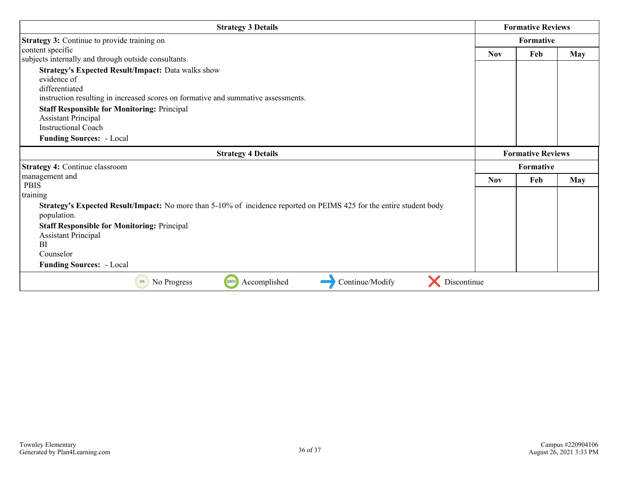| <b>Strategy 3 Details</b>                                                                                                           |            | <b>Formative Reviews</b> |     |
|-------------------------------------------------------------------------------------------------------------------------------------|------------|--------------------------|-----|
| <b>Strategy 3: Continue to provide training on</b>                                                                                  |            | <b>Formative</b>         |     |
| content specific                                                                                                                    | <b>Nov</b> | Feb                      | May |
| subjects internally and through outside consultants.                                                                                |            |                          |     |
| <b>Strategy's Expected Result/Impact: Data walks show</b>                                                                           |            |                          |     |
| evidence of                                                                                                                         |            |                          |     |
| differentiated                                                                                                                      |            |                          |     |
| instruction resulting in increased scores on formative and summative assessments.                                                   |            |                          |     |
| <b>Staff Responsible for Monitoring: Principal</b>                                                                                  |            |                          |     |
| <b>Assistant Principal</b>                                                                                                          |            |                          |     |
| <b>Instructional Coach</b>                                                                                                          |            |                          |     |
| <b>Funding Sources: - Local</b>                                                                                                     |            |                          |     |
| <b>Strategy 4 Details</b>                                                                                                           |            | <b>Formative Reviews</b> |     |
| <b>Strategy 4: Continue classroom</b>                                                                                               |            | Formative                |     |
| management and                                                                                                                      | <b>Nov</b> | Feb                      | May |
| <b>PBIS</b>                                                                                                                         |            |                          |     |
| training                                                                                                                            |            |                          |     |
| Strategy's Expected Result/Impact: No more than 5-10% of incidence reported on PEIMS 425 for the entire student body<br>population. |            |                          |     |
| <b>Staff Responsible for Monitoring: Principal</b><br><b>Assistant Principal</b><br><sub>BI</sub>                                   |            |                          |     |
| Counselor                                                                                                                           |            |                          |     |
| <b>Funding Sources: - Local</b>                                                                                                     |            |                          |     |
| 100%<br>Continue/Modify<br>Accomplished<br>Discontinue<br>No Progress<br>0%                                                         |            |                          |     |